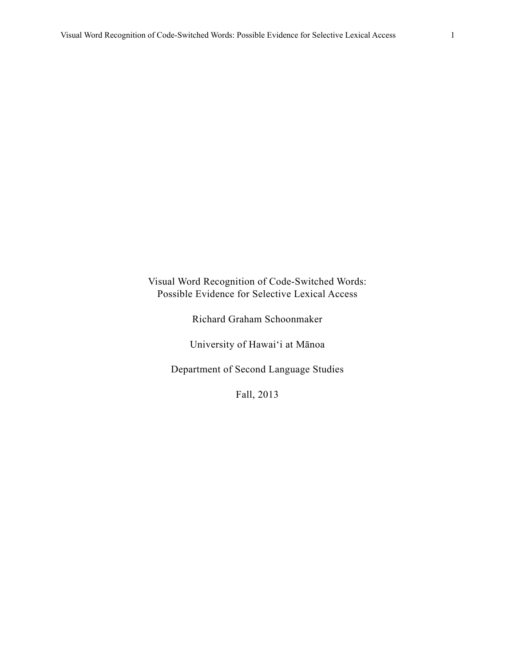## Visual Word Recognition of Code-Switched Words: Possible Evidence for Selective Lexical Access

Richard Graham Schoonmaker

University of Hawai'i at Mānoa

Department of Second Language Studies

Fall, 2013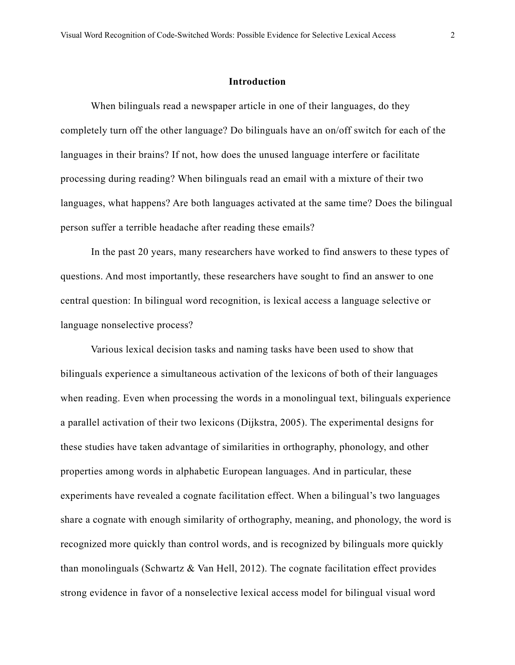#### **Introduction**

 When bilinguals read a newspaper article in one of their languages, do they completely turn off the other language? Do bilinguals have an on/off switch for each of the languages in their brains? If not, how does the unused language interfere or facilitate processing during reading? When bilinguals read an email with a mixture of their two languages, what happens? Are both languages activated at the same time? Does the bilingual person suffer a terrible headache after reading these emails?

 In the past 20 years, many researchers have worked to find answers to these types of questions. And most importantly, these researchers have sought to find an answer to one central question: In bilingual word recognition, is lexical access a language selective or language nonselective process?

 Various lexical decision tasks and naming tasks have been used to show that bilinguals experience a simultaneous activation of the lexicons of both of their languages when reading. Even when processing the words in a monolingual text, bilinguals experience a parallel activation of their two lexicons (Dijkstra, 2005). The experimental designs for these studies have taken advantage of similarities in orthography, phonology, and other properties among words in alphabetic European languages. And in particular, these experiments have revealed a cognate facilitation effect. When a bilingual's two languages share a cognate with enough similarity of orthography, meaning, and phonology, the word is recognized more quickly than control words, and is recognized by bilinguals more quickly than monolinguals (Schwartz & Van Hell, 2012). The cognate facilitation effect provides strong evidence in favor of a nonselective lexical access model for bilingual visual word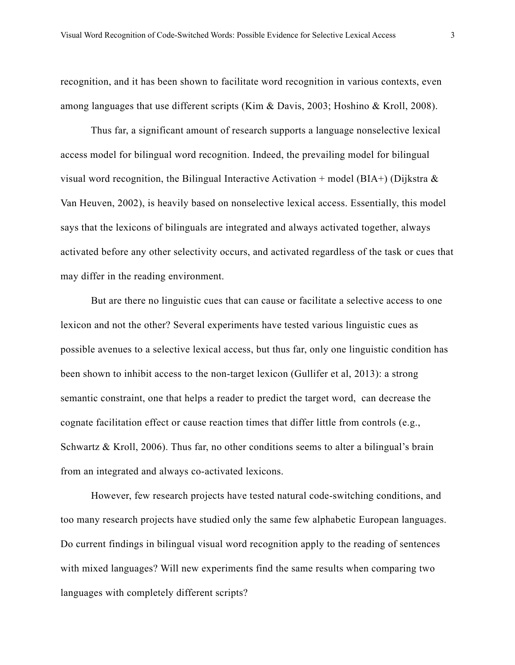recognition, and it has been shown to facilitate word recognition in various contexts, even among languages that use different scripts (Kim & Davis, 2003; Hoshino & Kroll, 2008).

 Thus far, a significant amount of research supports a language nonselective lexical access model for bilingual word recognition. Indeed, the prevailing model for bilingual visual word recognition, the Bilingual Interactive Activation + model (BIA+) (Dijkstra  $\&$ Van Heuven, 2002), is heavily based on nonselective lexical access. Essentially, this model says that the lexicons of bilinguals are integrated and always activated together, always activated before any other selectivity occurs, and activated regardless of the task or cues that may differ in the reading environment.

 But are there no linguistic cues that can cause or facilitate a selective access to one lexicon and not the other? Several experiments have tested various linguistic cues as possible avenues to a selective lexical access, but thus far, only one linguistic condition has been shown to inhibit access to the non-target lexicon (Gullifer et al, 2013): a strong semantic constraint, one that helps a reader to predict the target word, can decrease the cognate facilitation effect or cause reaction times that differ little from controls (e.g., Schwartz & Kroll, 2006). Thus far, no other conditions seems to alter a bilingual's brain from an integrated and always co-activated lexicons.

 However, few research projects have tested natural code-switching conditions, and too many research projects have studied only the same few alphabetic European languages. Do current findings in bilingual visual word recognition apply to the reading of sentences with mixed languages? Will new experiments find the same results when comparing two languages with completely different scripts?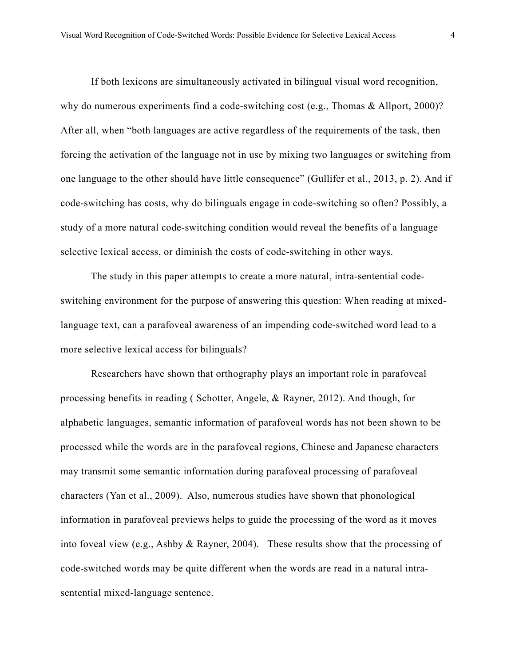If both lexicons are simultaneously activated in bilingual visual word recognition, why do numerous experiments find a code-switching cost (e.g., Thomas & Allport, 2000)? After all, when "both languages are active regardless of the requirements of the task, then forcing the activation of the language not in use by mixing two languages or switching from one language to the other should have little consequence" (Gullifer et al., 2013, p. 2). And if code-switching has costs, why do bilinguals engage in code-switching so often? Possibly, a study of a more natural code-switching condition would reveal the benefits of a language selective lexical access, or diminish the costs of code-switching in other ways.

 The study in this paper attempts to create a more natural, intra-sentential codeswitching environment for the purpose of answering this question: When reading at mixedlanguage text, can a parafoveal awareness of an impending code-switched word lead to a more selective lexical access for bilinguals?

 Researchers have shown that orthography plays an important role in parafoveal processing benefits in reading ( Schotter, Angele, & Rayner, 2012). And though, for alphabetic languages, semantic information of parafoveal words has not been shown to be processed while the words are in the parafoveal regions, Chinese and Japanese characters may transmit some semantic information during parafoveal processing of parafoveal characters (Yan et al., 2009). Also, numerous studies have shown that phonological information in parafoveal previews helps to guide the processing of the word as it moves into foveal view (e.g., Ashby & Rayner, 2004). These results show that the processing of code-switched words may be quite different when the words are read in a natural intrasentential mixed-language sentence.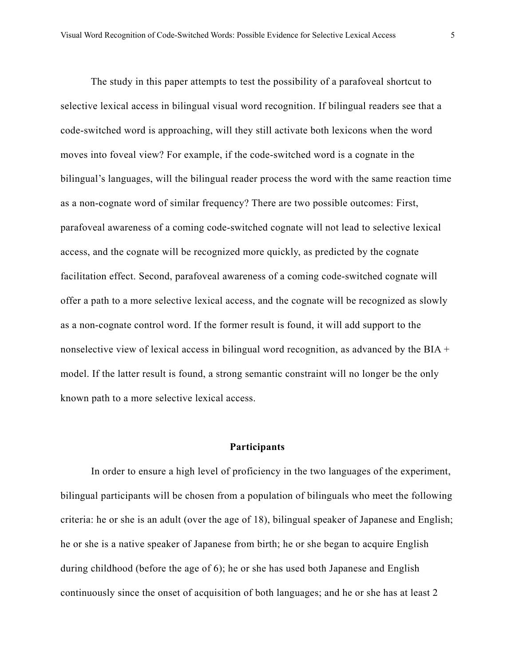The study in this paper attempts to test the possibility of a parafoveal shortcut to selective lexical access in bilingual visual word recognition. If bilingual readers see that a code-switched word is approaching, will they still activate both lexicons when the word moves into foveal view? For example, if the code-switched word is a cognate in the bilingual's languages, will the bilingual reader process the word with the same reaction time as a non-cognate word of similar frequency? There are two possible outcomes: First, parafoveal awareness of a coming code-switched cognate will not lead to selective lexical access, and the cognate will be recognized more quickly, as predicted by the cognate facilitation effect. Second, parafoveal awareness of a coming code-switched cognate will offer a path to a more selective lexical access, and the cognate will be recognized as slowly as a non-cognate control word. If the former result is found, it will add support to the nonselective view of lexical access in bilingual word recognition, as advanced by the BIA + model. If the latter result is found, a strong semantic constraint will no longer be the only known path to a more selective lexical access.

#### **Participants**

 In order to ensure a high level of proficiency in the two languages of the experiment, bilingual participants will be chosen from a population of bilinguals who meet the following criteria: he or she is an adult (over the age of 18), bilingual speaker of Japanese and English; he or she is a native speaker of Japanese from birth; he or she began to acquire English during childhood (before the age of 6); he or she has used both Japanese and English continuously since the onset of acquisition of both languages; and he or she has at least 2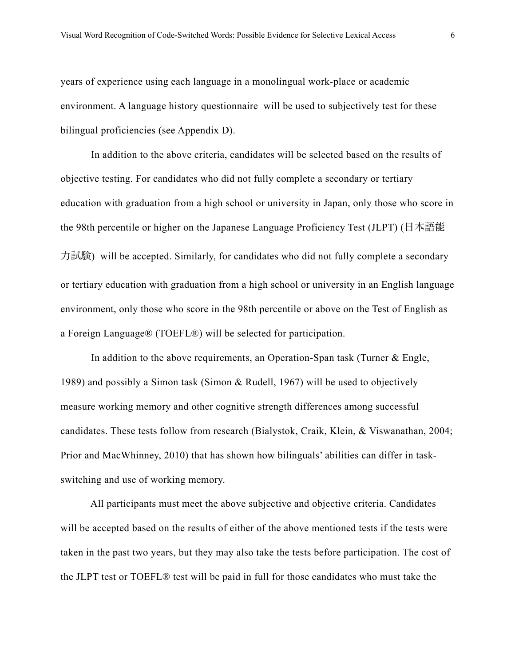years of experience using each language in a monolingual work-place or academic environment. A language history questionnaire will be used to subjectively test for these bilingual proficiencies (see Appendix D).

 In addition to the above criteria, candidates will be selected based on the results of objective testing. For candidates who did not fully complete a secondary or tertiary education with graduation from a high school or university in Japan, only those who score in the 98th percentile or higher on the Japanese Language Proficiency Test (JLPT) (日本語能 力試験) will be accepted. Similarly, for candidates who did not fully complete a secondary or tertiary education with graduation from a high school or university in an English language environment, only those who score in the 98th percentile or above on the Test of English as a Foreign Language® (TOEFL®) will be selected for participation.

In addition to the above requirements, an Operation-Span task (Turner & Engle, 1989) and possibly a Simon task (Simon & Rudell, 1967) will be used to objectively measure working memory and other cognitive strength differences among successful candidates. These tests follow from research (Bialystok, Craik, Klein, & Viswanathan, 2004; Prior and MacWhinney, 2010) that has shown how bilinguals' abilities can differ in taskswitching and use of working memory.

 All participants must meet the above subjective and objective criteria. Candidates will be accepted based on the results of either of the above mentioned tests if the tests were taken in the past two years, but they may also take the tests before participation. The cost of the JLPT test or TOEFL® test will be paid in full for those candidates who must take the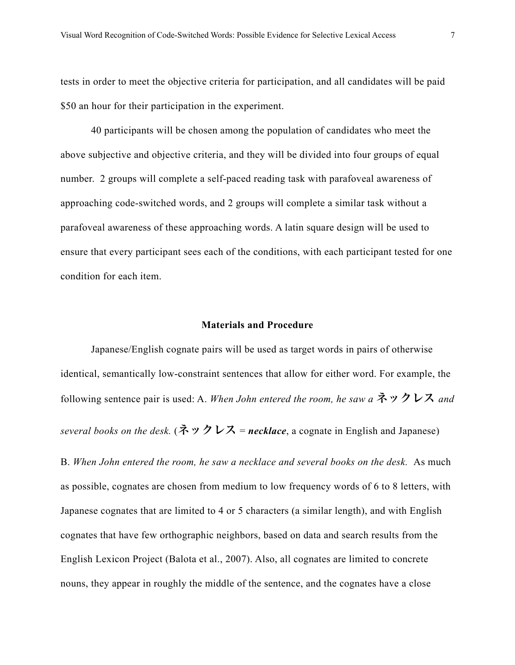tests in order to meet the objective criteria for participation, and all candidates will be paid \$50 an hour for their participation in the experiment.

 40 participants will be chosen among the population of candidates who meet the above subjective and objective criteria, and they will be divided into four groups of equal number. 2 groups will complete a self-paced reading task with parafoveal awareness of approaching code-switched words, and 2 groups will complete a similar task without a parafoveal awareness of these approaching words. A latin square design will be used to ensure that every participant sees each of the conditions, with each participant tested for one condition for each item.

#### **Materials and Procedure**

 Japanese/English cognate pairs will be used as target words in pairs of otherwise identical, semantically low-constraint sentences that allow for either word. For example, the following sentence pair is used: A. *When John entered the room, he saw a* ネックレス *and several books on the desk.* (ネックレス = *necklace*, a cognate in English and Japanese)

B. *When John entered the room, he saw a necklace and several books on the desk.* As much as possible, cognates are chosen from medium to low frequency words of 6 to 8 letters, with Japanese cognates that are limited to 4 or 5 characters (a similar length), and with English cognates that have few orthographic neighbors, based on data and search results from the English Lexicon Project (Balota et al., 2007). Also, all cognates are limited to concrete nouns, they appear in roughly the middle of the sentence, and the cognates have a close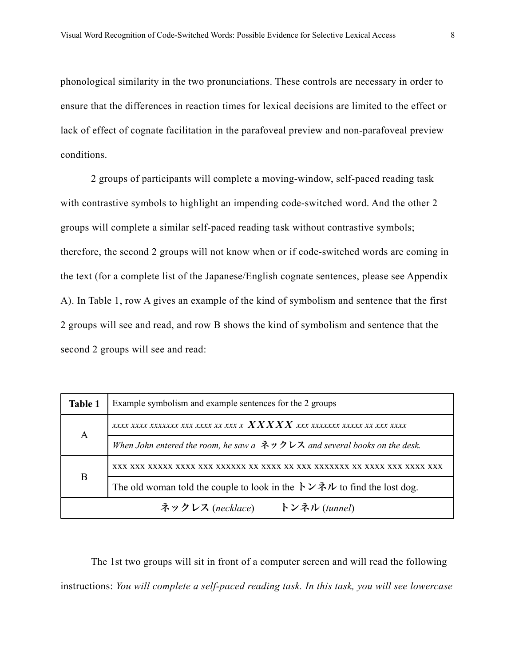phonological similarity in the two pronunciations. These controls are necessary in order to ensure that the differences in reaction times for lexical decisions are limited to the effect or lack of effect of cognate facilitation in the parafoveal preview and non-parafoveal preview conditions.

 2 groups of participants will complete a moving-window, self-paced reading task with contrastive symbols to highlight an impending code-switched word. And the other 2 groups will complete a similar self-paced reading task without contrastive symbols; therefore, the second 2 groups will not know when or if code-switched words are coming in the text (for a complete list of the Japanese/English cognate sentences, please see Appendix A). In Table 1, row A gives an example of the kind of symbolism and sentence that the first 2 groups will see and read, and row B shows the kind of symbolism and sentence that the second 2 groups will see and read:

| <b>Table 1</b> | Example symbolism and example sentences for the 2 groups                                                                                       |  |
|----------------|------------------------------------------------------------------------------------------------------------------------------------------------|--|
| A              | xxxx xxxx xxxxxx xxx xxx xx xxx x $\overline{X} \overline{X} \overline{X} \overline{X} \overline{X} \overline{X}$ xxx xxxxxx xxxxx xx xxx xxxx |  |
|                | When John entered the room, he saw $a \not\uparrow y$ $\vee \vee \vee z$ and several books on the desk.                                        |  |
| B              |                                                                                                                                                |  |
|                | The old woman told the couple to look in the $\overrightarrow{\mathcal{V}} \times \overrightarrow{\mathcal{W}}$ to find the lost dog.          |  |
|                | ネックレス (necklace)<br>トンネル (tunnel)                                                                                                              |  |

The 1st two groups will sit in front of a computer screen and will read the following instructions: *You will complete a self-paced reading task. In this task, you will see lowercase*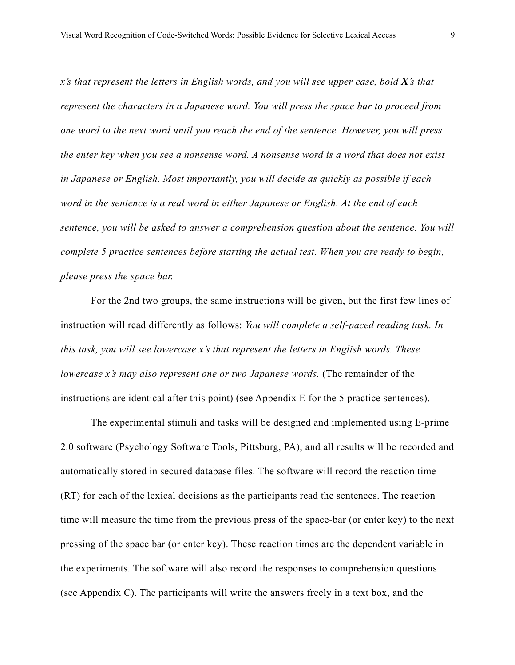*x's that represent the letters in English words, and you will see upper case, bold X's that represent the characters in a Japanese word. You will press the space bar to proceed from one word to the next word until you reach the end of the sentence. However, you will press the enter key when you see a nonsense word. A nonsense word is a word that does not exist in Japanese or English. Most importantly, you will decide as quickly as possible if each word in the sentence is a real word in either Japanese or English. At the end of each sentence, you will be asked to answer a comprehension question about the sentence. You will complete 5 practice sentences before starting the actual test. When you are ready to begin, please press the space bar.* 

 For the 2nd two groups, the same instructions will be given, but the first few lines of instruction will read differently as follows: *You will complete a self-paced reading task. In this task, you will see lowercase x's that represent the letters in English words. These lowercase x's may also represent one or two Japanese words.* (The remainder of the instructions are identical after this point) (see Appendix E for the 5 practice sentences).

 The experimental stimuli and tasks will be designed and implemented using E-prime 2.0 software (Psychology Software Tools, Pittsburg, PA), and all results will be recorded and automatically stored in secured database files. The software will record the reaction time (RT) for each of the lexical decisions as the participants read the sentences. The reaction time will measure the time from the previous press of the space-bar (or enter key) to the next pressing of the space bar (or enter key). These reaction times are the dependent variable in the experiments. The software will also record the responses to comprehension questions (see Appendix C). The participants will write the answers freely in a text box, and the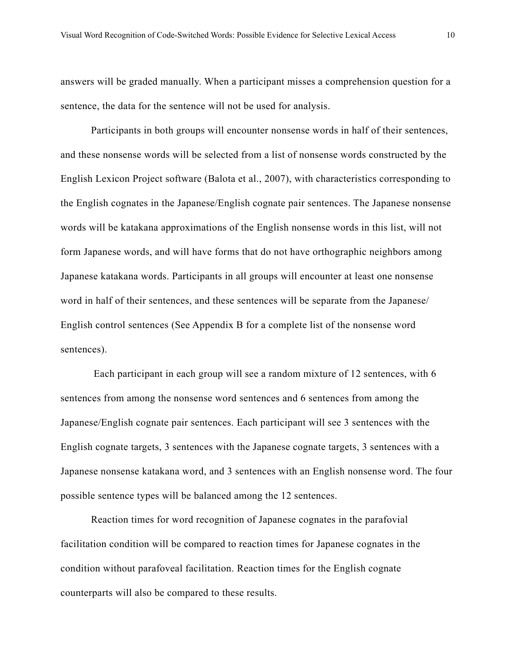answers will be graded manually. When a participant misses a comprehension question for a sentence, the data for the sentence will not be used for analysis.

 Participants in both groups will encounter nonsense words in half of their sentences, and these nonsense words will be selected from a list of nonsense words constructed by the English Lexicon Project software (Balota et al., 2007), with characteristics corresponding to the English cognates in the Japanese/English cognate pair sentences. The Japanese nonsense words will be katakana approximations of the English nonsense words in this list, will not form Japanese words, and will have forms that do not have orthographic neighbors among Japanese katakana words. Participants in all groups will encounter at least one nonsense word in half of their sentences, and these sentences will be separate from the Japanese/ English control sentences (See Appendix B for a complete list of the nonsense word sentences).

 Each participant in each group will see a random mixture of 12 sentences, with 6 sentences from among the nonsense word sentences and 6 sentences from among the Japanese/English cognate pair sentences. Each participant will see 3 sentences with the English cognate targets, 3 sentences with the Japanese cognate targets, 3 sentences with a Japanese nonsense katakana word, and 3 sentences with an English nonsense word. The four possible sentence types will be balanced among the 12 sentences.

 Reaction times for word recognition of Japanese cognates in the parafovial facilitation condition will be compared to reaction times for Japanese cognates in the condition without parafoveal facilitation. Reaction times for the English cognate counterparts will also be compared to these results.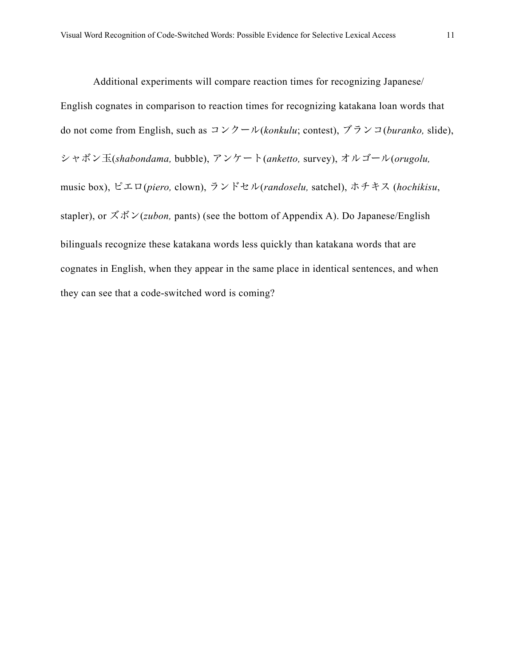Additional experiments will compare reaction times for recognizing Japanese/ English cognates in comparison to reaction times for recognizing katakana loan words that do not come from English, such as コンクール(*konkulu*; contest), ブランコ(*buranko,* slide), シャボン玉(*shabondama,* bubble), アンケート(*anketto,* survey), オルゴール(*orugolu,*  music box), ピエロ(*piero,* clown), ランドセル(*randoselu,* satchel), ホチキス (*hochikisu*, stapler), or ズボン(*zubon,* pants) (see the bottom of Appendix A). Do Japanese/English bilinguals recognize these katakana words less quickly than katakana words that are

cognates in English, when they appear in the same place in identical sentences, and when

they can see that a code-switched word is coming?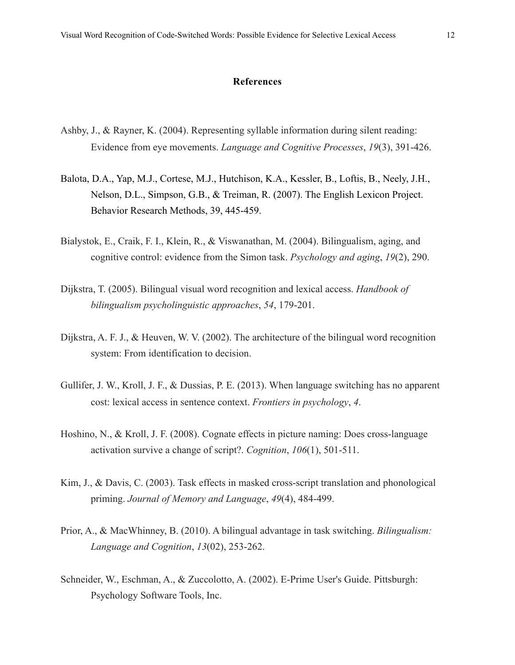#### **References**

- Ashby, J., & Rayner, K. (2004). Representing syllable information during silent reading: Evidence from eye movements. *Language and Cognitive Processes*, *19*(3), 391-426.
- Balota, D.A., Yap, M.J., Cortese, M.J., Hutchison, K.A., Kessler, B., Loftis, B., Neely, J.H., Nelson, D.L., Simpson, G.B., & Treiman, R. (2007). The English Lexicon Project. Behavior Research Methods, 39, 445-459.
- Bialystok, E., Craik, F. I., Klein, R., & Viswanathan, M. (2004). Bilingualism, aging, and cognitive control: evidence from the Simon task. *Psychology and aging*, *19*(2), 290.
- Dijkstra, T. (2005). Bilingual visual word recognition and lexical access. *Handbook of bilingualism psycholinguistic approaches*, *54*, 179-201.
- Dijkstra, A. F. J., & Heuven, W. V. (2002). The architecture of the bilingual word recognition system: From identification to decision.
- Gullifer, J. W., Kroll, J. F., & Dussias, P. E. (2013). When language switching has no apparent cost: lexical access in sentence context. *Frontiers in psychology*, *4*.
- Hoshino, N., & Kroll, J. F. (2008). Cognate effects in picture naming: Does cross-language activation survive a change of script?. *Cognition*, *106*(1), 501-511.
- Kim, J., & Davis, C. (2003). Task effects in masked cross-script translation and phonological priming. *Journal of Memory and Language*, *49*(4), 484-499.
- Prior, A., & MacWhinney, B. (2010). A bilingual advantage in task switching. *Bilingualism: Language and Cognition*, *13*(02), 253-262.
- Schneider, W., Eschman, A., & Zuccolotto, A. (2002). E-Prime User's Guide. Pittsburgh: Psychology Software Tools, Inc.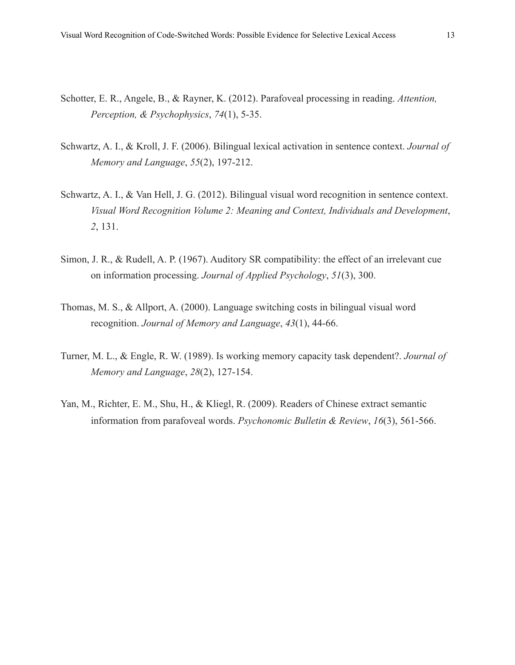- Schotter, E. R., Angele, B., & Rayner, K. (2012). Parafoveal processing in reading. *Attention, Perception, & Psychophysics*, *74*(1), 5-35.
- Schwartz, A. I., & Kroll, J. F. (2006). Bilingual lexical activation in sentence context. *Journal of Memory and Language*, *55*(2), 197-212.
- Schwartz, A. I., & Van Hell, J. G. (2012). Bilingual visual word recognition in sentence context. *Visual Word Recognition Volume 2: Meaning and Context, Individuals and Development*, *2*, 131.
- Simon, J. R., & Rudell, A. P. (1967). Auditory SR compatibility: the effect of an irrelevant cue on information processing. *Journal of Applied Psychology*, *51*(3), 300.
- Thomas, M. S., & Allport, A. (2000). Language switching costs in bilingual visual word recognition. *Journal of Memory and Language*, *43*(1), 44-66.
- Turner, M. L., & Engle, R. W. (1989). Is working memory capacity task dependent?. *Journal of Memory and Language*, *28*(2), 127-154.
- Yan, M., Richter, E. M., Shu, H., & Kliegl, R. (2009). Readers of Chinese extract semantic information from parafoveal words. *Psychonomic Bulletin & Review*, *16*(3), 561-566.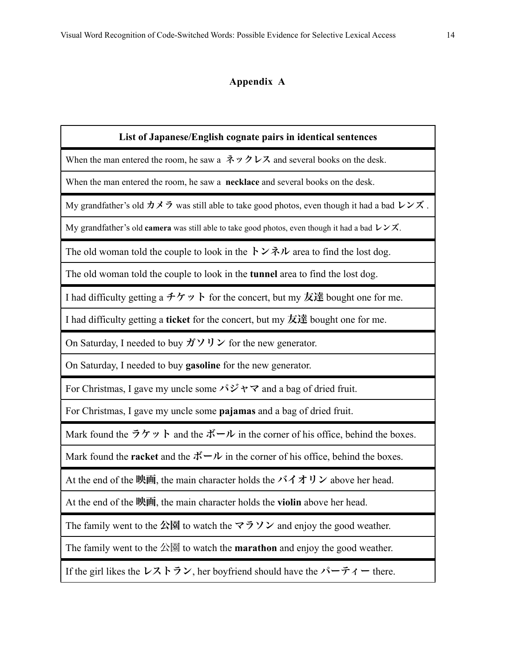# **Appendix A**

| List of Japanese/English cognate pairs in identical sentences                                                                                                               |  |  |
|-----------------------------------------------------------------------------------------------------------------------------------------------------------------------------|--|--|
| When the man entered the room, he saw a $\ddot{\mathcal{R}} \mathcal{Y} \mathcal{Y} \mathcal{Y} \mathcal{Y}$ and several books on the desk.                                 |  |  |
| When the man entered the room, he saw a <b>necklace</b> and several books on the desk.                                                                                      |  |  |
| My grandfather's old $\forall \vec{y}$ was still able to take good photos, even though it had a bad $U \vee \vec{x}$ .                                                      |  |  |
| My grandfather's old camera was still able to take good photos, even though it had a bad $U \times \overrightarrow{X}$ .                                                    |  |  |
| The old woman told the couple to look in the $\overrightarrow{V} \times \overrightarrow{v}$ area to find the lost dog.                                                      |  |  |
| The old woman told the couple to look in the <b>tunnel</b> area to find the lost dog.                                                                                       |  |  |
| I had difficulty getting a $\hat{\tau}$ $\hat{\tau}$ $\hat{\nu}$ $\hat{\tau}$ for the concert, but my $\hat{\pi}$ $\hat{\pi}$ bought one for me.                            |  |  |
| I had difficulty getting a <b>ticket</b> for the concert, but my $\overline{\mathcal{R}}$ is bought one for me.                                                             |  |  |
| On Saturday, I needed to buy $\overrightarrow{y} \vee \overrightarrow{y} \vee \overrightarrow{z}$ for the new generator.                                                    |  |  |
| On Saturday, I needed to buy gasoline for the new generator.                                                                                                                |  |  |
| For Christmas, I gave my uncle some $\forall \forall \forall \forall$ and a bag of dried fruit.                                                                             |  |  |
| For Christmas, I gave my uncle some pajamas and a bag of dried fruit.                                                                                                       |  |  |
| Mark found the $\overrightarrow{7}\overrightarrow{7}$ $\overrightarrow{9}$ and the $\overrightarrow{1}$ $\overrightarrow{1}$ in the corner of his office, behind the boxes. |  |  |
| Mark found the <b>racket</b> and the $\vec{x} - \nu$ in the corner of his office, behind the boxes.                                                                         |  |  |
| At the end of the $\mathfrak{m}$ the main character holds the $\mathcal{N} \mathcal{A} \mathcal{A} \mathcal{V}$ above her head.                                             |  |  |
| At the end of the 映画, the main character holds the violin above her head.                                                                                                   |  |  |
| The family went to the $\Delta \overline{B}$ to watch the $\nabla \overline{D}$ $\nabla$ and enjoy the good weather.                                                        |  |  |
| The family went to the $\triangle \boxtimes$ to watch the <b>marathon</b> and enjoy the good weather.                                                                       |  |  |
| If the girl likes the $\nu \lambda \overrightarrow{b} \nu$ , her boyfriend should have the $\lambda - \overrightarrow{r} \lambda$ – there.                                  |  |  |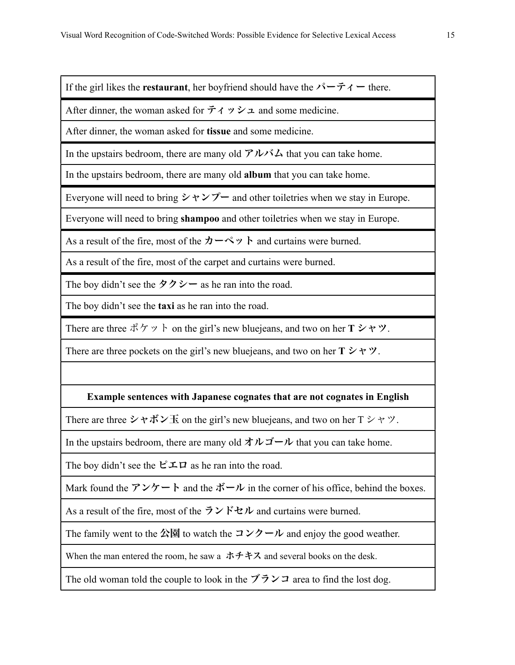If the girl likes the **restaurant**, her boyfriend should have the  $\lambda^2 - \overrightarrow{\tau}$  + there.

After dinner, the woman asked for  $\vec{\tau} \wedge \vec{v} \times \vec{\tau}$  and some medicine.

After dinner, the woman asked for **tissue** and some medicine.

In the upstairs bedroom, there are many old  $\mathcal{V} \mathcal{W} \rightarrow \mathcal{L}$  that you can take home.

In the upstairs bedroom, there are many old **album** that you can take home.

Everyone will need to bring  $\triangleright \uparrow \nearrow \uparrow$  and other toiletries when we stay in Europe.

Everyone will need to bring **shampoo** and other toiletries when we stay in Europe.

As a result of the fire, most of the  $\pi \sim \sqrt{2}$  h and curtains were burned.

As a result of the fire, most of the carpet and curtains were burned.

The boy didn't see the  $\Diamond \Diamond \Diamond \neg$  as he ran into the road.

The boy didn't see the **taxi** as he ran into the road.

There are three ポケット on the girl's new bluejeans, and two on her **T** シャツ.

There are three pockets on the girl's new bluejeans, and two on her  $T \triangleright \neg \triangleright \neg \triangleright$ .

## **Example sentences with Japanese cognates that are not cognates in English**

There are three シャボン玉 on the girl's new bluejeans, and two on her  $T \triangleright \neg \triangleright \neg \triangleright$ .

In the upstairs bedroom, there are many old  $\forall \forall \vec{\theta} \neg \vec{\theta}$  that you can take home.

The boy didn't see the  $\mathcal{L} \perp \mathcal{L}$  as he ran into the road.

Mark found the アンケート and the ボール in the corner of his office, behind the boxes.

As a result of the fire, most of the ランドセル and curtains were burned.

The family went to the 公園 to watch the コンクール and enjoy the good weather.

When the man entered the room, he saw a  $###Z$  and several books on the desk.

The old woman told the couple to look in the  $\vec{y} \cdot \vec{y}$  area to find the lost dog.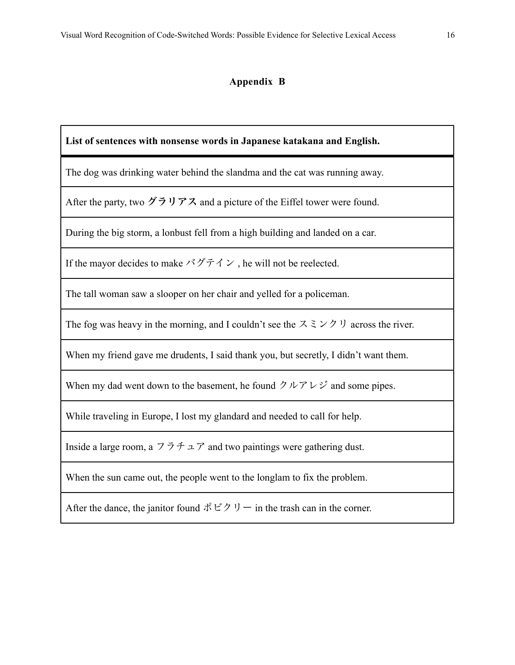### **Appendix B**

**List of sentences with nonsense words in Japanese katakana and English.** 

The dog was drinking water behind the slandma and the cat was running away.

After the party, two グラリアス and a picture of the Eiffel tower were found.

During the big storm, a lonbust fell from a high building and landed on a car.

If the mayor decides to make  $\check{\check{\;}'}\check{\check{\;}}\check{\check{\;}}\check{\check{\;}}\check{\;}$  he will not be reelected.

The tall woman saw a slooper on her chair and yelled for a policeman.

The fog was heavy in the morning, and I couldn't see the  $\lambda \geq \lambda$   $\forall$   $\forall$  across the river.

When my friend gave me drudents, I said thank you, but secretly, I didn't want them.

When my dad went down to the basement, he found  $\Diamond \nu \Diamond \lor \Diamond \lor \Diamond$  and some pipes.

While traveling in Europe, I lost my glandard and needed to call for help.

Inside a large room, a  $7\bar{7}$   $\bar{7}$  and two paintings were gathering dust.

When the sun came out, the people went to the longlam to fix the problem.

After the dance, the janitor found  $\mathcal{R} \to \mathcal{P} \cup \mathcal{P}$  in the trash can in the corner.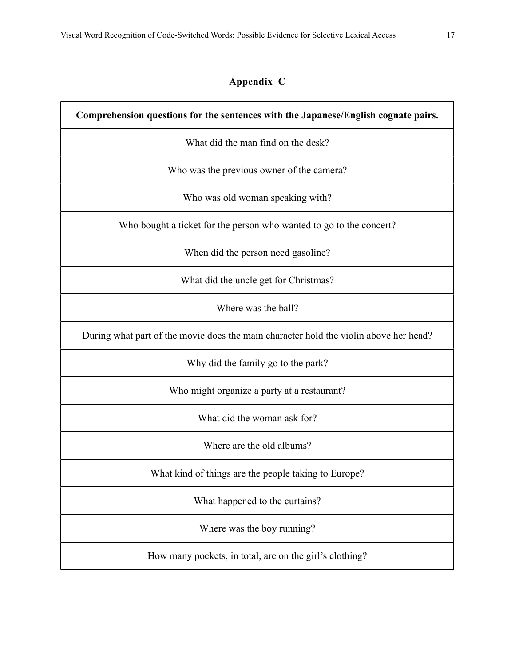## **Appendix C**

**Comprehension questions for the sentences with the Japanese/English cognate pairs.** What did the man find on the desk? Who was the previous owner of the camera? Who was old woman speaking with? Who bought a ticket for the person who wanted to go to the concert? When did the person need gasoline? What did the uncle get for Christmas? Where was the ball? During what part of the movie does the main character hold the violin above her head? Why did the family go to the park? Who might organize a party at a restaurant? What did the woman ask for? Where are the old albums? What kind of things are the people taking to Europe? What happened to the curtains? Where was the boy running?

How many pockets, in total, are on the girl's clothing?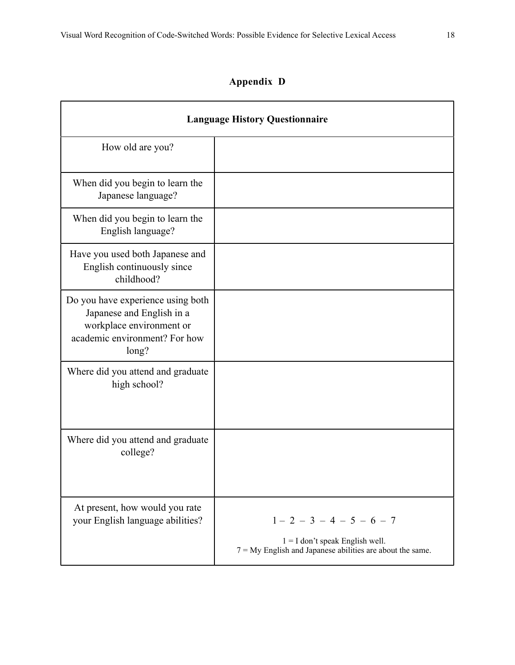# **Appendix D**

| <b>Language History Questionnaire</b>                                                                                                |                                                                                                                                 |  |  |
|--------------------------------------------------------------------------------------------------------------------------------------|---------------------------------------------------------------------------------------------------------------------------------|--|--|
| How old are you?                                                                                                                     |                                                                                                                                 |  |  |
| When did you begin to learn the<br>Japanese language?                                                                                |                                                                                                                                 |  |  |
| When did you begin to learn the<br>English language?                                                                                 |                                                                                                                                 |  |  |
| Have you used both Japanese and<br>English continuously since<br>childhood?                                                          |                                                                                                                                 |  |  |
| Do you have experience using both<br>Japanese and English in a<br>workplace environment or<br>academic environment? For how<br>long? |                                                                                                                                 |  |  |
| Where did you attend and graduate<br>high school?                                                                                    |                                                                                                                                 |  |  |
| Where did you attend and graduate<br>college?                                                                                        |                                                                                                                                 |  |  |
| At present, how would you rate<br>your English language abilities?                                                                   | $1 - 2 - 3 - 4 - 5 - 6 - 7$<br>$1 = I$ don't speak English well.<br>$7 = My$ English and Japanese abilities are about the same. |  |  |